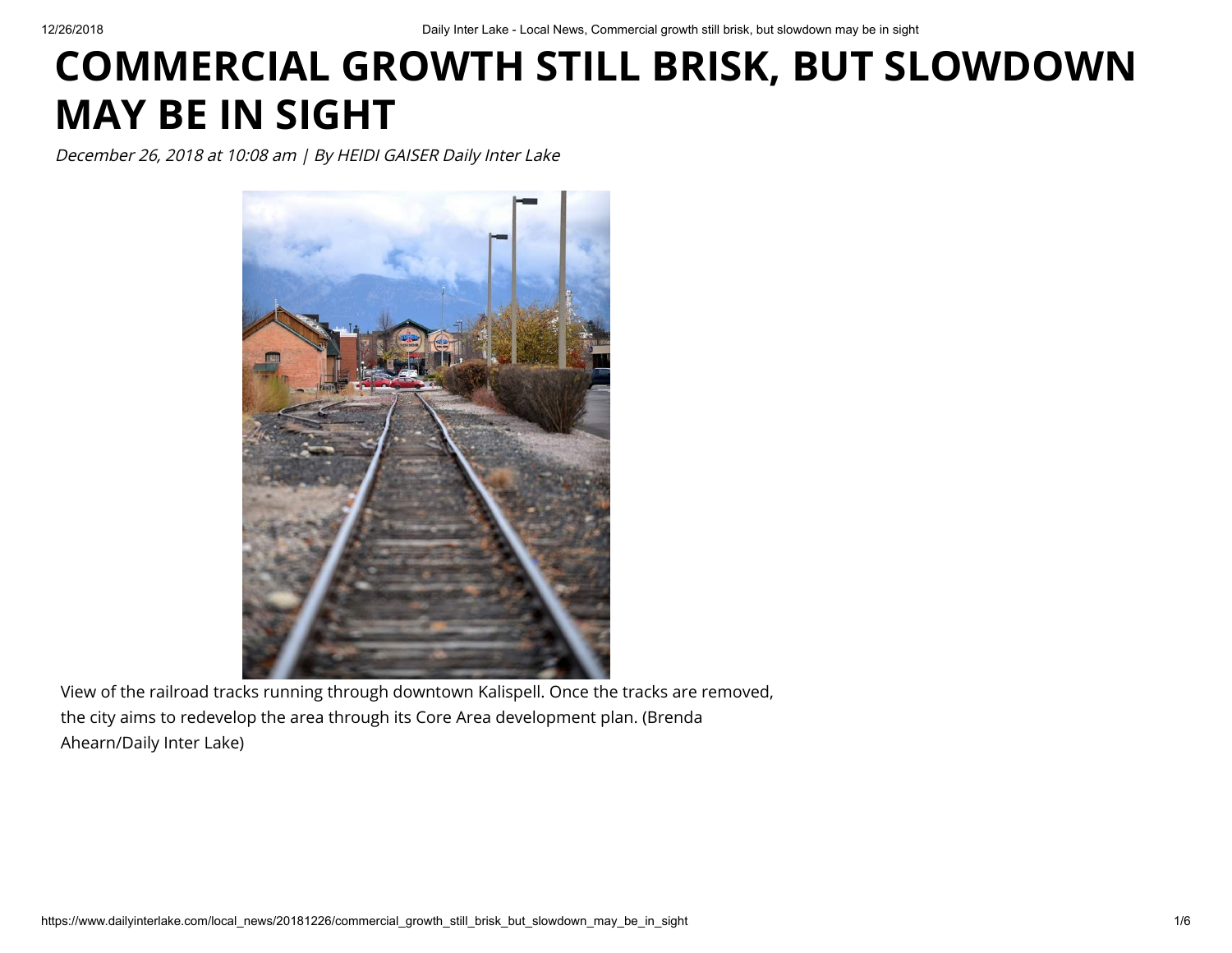## **COMMERCIAL GROWTH STILL BRISK, BUT SLOWDOWN MAY BE IN SIGHT**

December 26, 2018 at 10:08 am | By HEIDI GAISER Daily Inter Lake



View of the railroad tracks running through downtown Kalispell. Once the tracks are removed, the city aims to redevelop the area through its Core Area development plan. (Brenda Ahearn/Daily Inter Lake)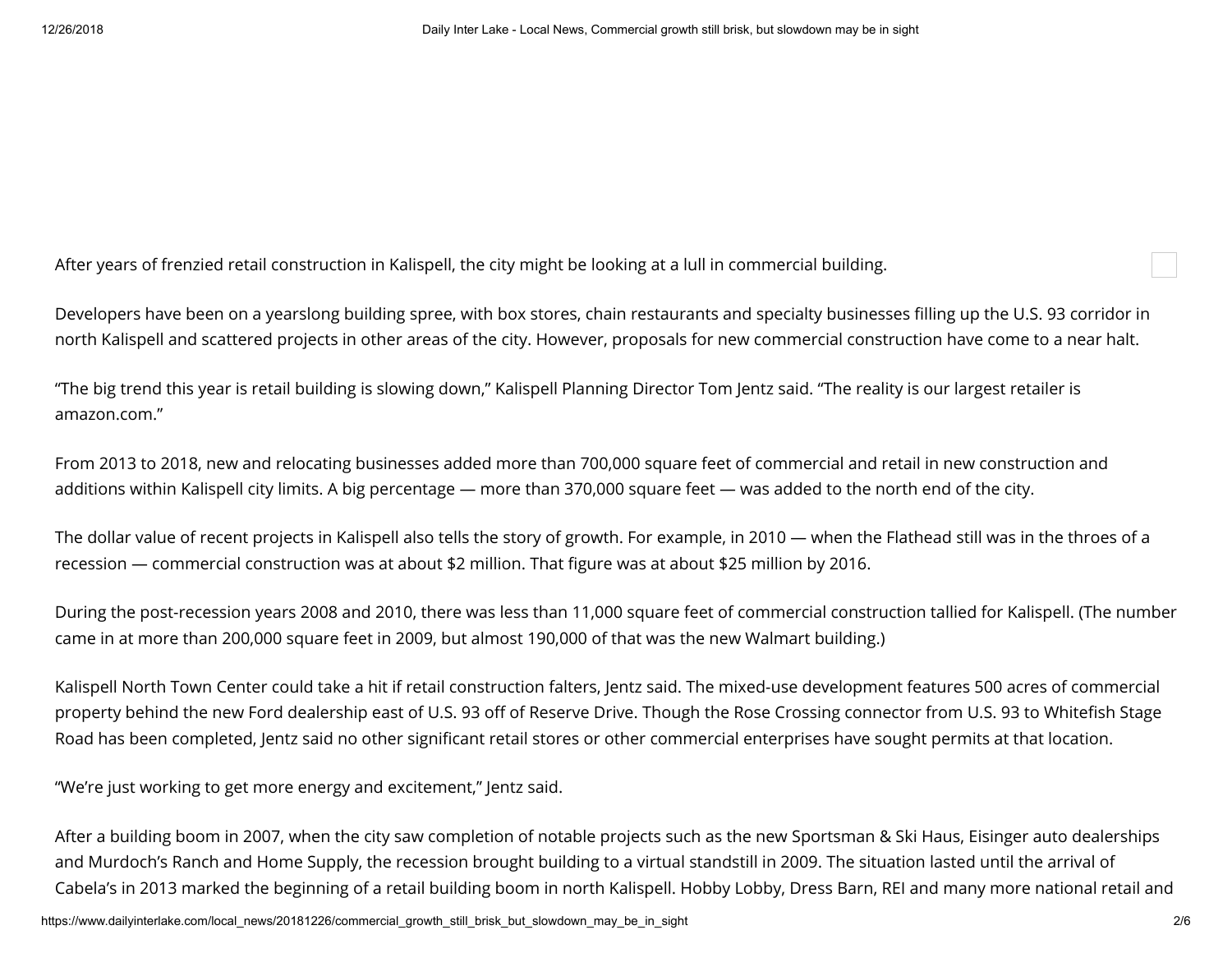After years of frenzied retail construction in Kalispell, the city might be looking at a lull in commercial building.

Developers have been on a yearslong building spree, with box stores, chain restaurants and specialty businesses filling up the U.S. 93 corridor in north Kalispell and scattered projects in other areas of the city. However, proposals for new commercial construction have come to a near halt.

"The big trend this year is retail building is slowing down," Kalispell Planning Director Tom Jentz said. "The reality is our largest retailer is amazon.com."

From 2013 to 2018, new and relocating businesses added more than 700,000 square feet of commercial and retail in new construction and additions within Kalispell city limits. A big percentage — more than 370,000 square feet — was added to the north end of the city.

The dollar value of recent projects in Kalispell also tells the story of growth. For example, in 2010 — when the Flathead still was in the throes of a recession — commercial construction was at about \$2 million. That figure was at about \$25 million by 2016.

During the post-recession years 2008 and 2010, there was less than 11,000 square feet of commercial construction tallied for Kalispell. (The number came in at more than 200,000 square feet in 2009, but almost 190,000 of that was the new Walmart building.)

Kalispell North Town Center could take a hit if retail construction falters, Jentz said. The mixed-use development features 500 acres of commercial property behind the new Ford dealership east of U.S. 93 off of Reserve Drive. Though the Rose Crossing connector from U.S. 93 to Whitefish Stage Road has been completed, Jentz said no other significant retail stores or other commercial enterprises have sought permits at that location.

"We're just working to get more energy and excitement," Jentz said.

After a building boom in 2007, when the city saw completion of notable projects such as the new Sportsman & Ski Haus, Eisinger auto dealerships and Murdoch's Ranch and Home Supply, the recession brought building to a virtual standstill in 2009. The situation lasted until the arrival of Cabela's in 2013 marked the beginning of a retail building boom in north Kalispell. Hobby Lobby, Dress Barn, REI and many more national retail and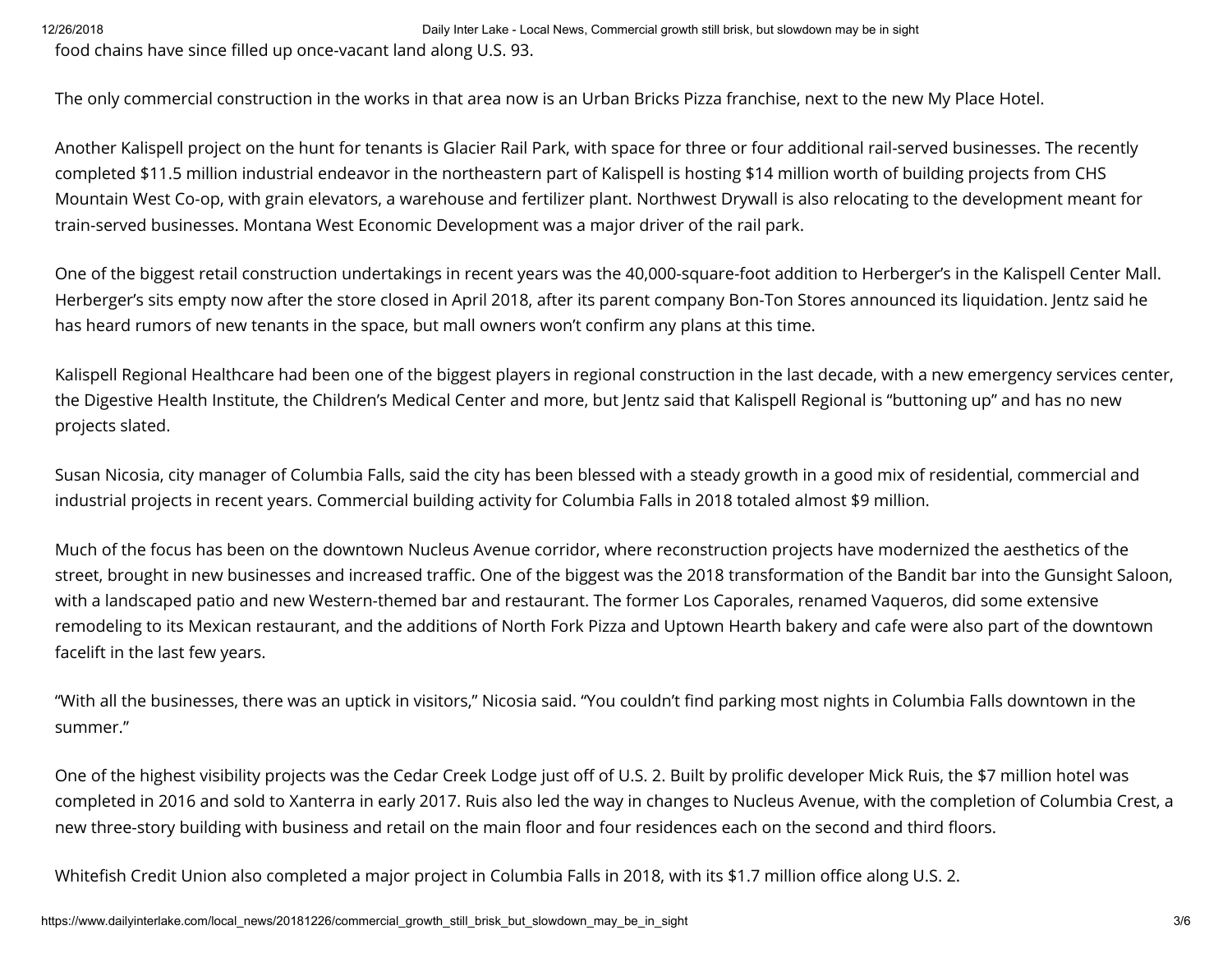12/26/2018 Daily Inter Lake - Local News, Commercial growth still brisk, but slowdown may be in sight

food chains have since filled up once-vacant land along U.S. 93.

The only commercial construction in the works in that area now is an Urban Bricks Pizza franchise, next to the new My Place Hotel.

Another Kalispell project on the hunt for tenants is Glacier Rail Park, with space for three or four additional rail-served businesses. The recently completed \$11.5 million industrial endeavor in the northeastern part of Kalispell is hosting \$14 million worth of building projects from CHS Mountain West Co-op, with grain elevators, a warehouse and fertilizer plant. Northwest Drywall is also relocating to the development meant for train-served businesses. Montana West Economic Development was a major driver of the rail park.

One of the biggest retail construction undertakings in recent years was the 40,000-square-foot addition to Herberger's in the Kalispell Center Mall. Herberger's sits empty now after the store closed in April 2018, after its parent company Bon-Ton Stores announced its liquidation. Jentz said he has heard rumors of new tenants in the space, but mall owners won't confirm any plans at this time.

Kalispell Regional Healthcare had been one of the biggest players in regional construction in the last decade, with a new emergency services center, the Digestive Health Institute, the Children's Medical Center and more, but Jentz said that Kalispell Regional is "buttoning up" and has no new projects slated.

Susan Nicosia, city manager of Columbia Falls, said the city has been blessed with a steady growth in a good mix of residential, commercial and industrial projects in recent years. Commercial building activity for Columbia Falls in 2018 totaled almost \$9 million.

Much of the focus has been on the downtown Nucleus Avenue corridor, where reconstruction projects have modernized the aesthetics of the street, brought in new businesses and increased traffic. One of the biggest was the 2018 transformation of the Bandit bar into the Gunsight Saloon, with a landscaped patio and new Western-themed bar and restaurant. The former Los Caporales, renamed Vaqueros, did some extensive remodeling to its Mexican restaurant, and the additions of North Fork Pizza and Uptown Hearth bakery and cafe were also part of the downtown facelift in the last few years.

"With all the businesses, there was an uptick in visitors," Nicosia said. "You couldn't find parking most nights in Columbia Falls downtown in the summer."

One of the highest visibility projects was the Cedar Creek Lodge just off of U.S. 2. Built by prolific developer Mick Ruis, the \$7 million hotel was completed in 2016 and sold to Xanterra in early 2017. Ruis also led the way in changes to Nucleus Avenue, with the completion of Columbia Crest, a new three-story building with business and retail on the main floor and four residences each on the second and third floors.

Whitefish Credit Union also completed a major project in Columbia Falls in 2018, with its \$1.7 million office along U.S. 2.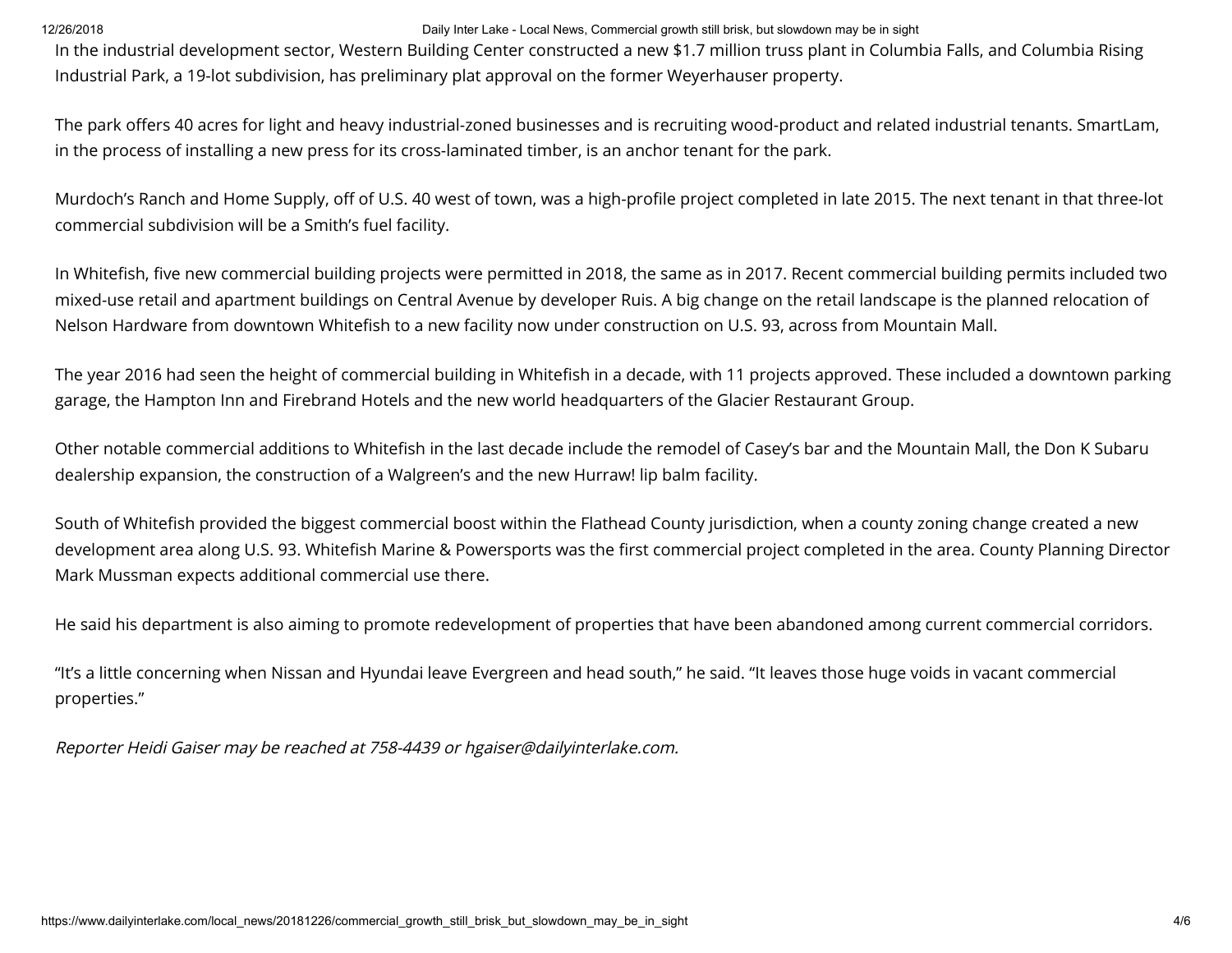## 12/26/2018 Daily Inter Lake - Local News, Commercial growth still brisk, but slowdown may be in sight

In the industrial development sector, Western Building Center constructed a new \$1.7 million truss plant in Columbia Falls, and Columbia Rising Industrial Park, a 19-lot subdivision, has preliminary plat approval on the former Weyerhauser property.

The park offers 40 acres for light and heavy industrial-zoned businesses and is recruiting wood-product and related industrial tenants. SmartLam, in the process of installing a new press for its cross-laminated timber, is an anchor tenant for the park.

Murdoch's Ranch and Home Supply, off of U.S. 40 west of town, was a high-profile project completed in late 2015. The next tenant in that three-lot commercial subdivision will be a Smith's fuel facility.

In Whitefish, five new commercial building projects were permitted in 2018, the same as in 2017. Recent commercial building permits included two mixed-use retail and apartment buildings on Central Avenue by developer Ruis. A big change on the retail landscape is the planned relocation of Nelson Hardware from downtown Whitefish to a new facility now under construction on U.S. 93, across from Mountain Mall.

The year 2016 had seen the height of commercial building in Whitefish in a decade, with 11 projects approved. These included a downtown parking garage, the Hampton Inn and Firebrand Hotels and the new world headquarters of the Glacier Restaurant Group.

Other notable commercial additions to Whitefish in the last decade include the remodel of Casey's bar and the Mountain Mall, the Don K Subaru dealership expansion, the construction of a Walgreen's and the new Hurraw! lip balm facility.

South of Whitefish provided the biggest commercial boost within the Flathead County jurisdiction, when a county zoning change created a new development area along U.S. 93. Whitefish Marine & Powersports was the first commercial project completed in the area. County Planning Director Mark Mussman expects additional commercial use there.

He said his department is also aiming to promote redevelopment of properties that have been abandoned among current commercial corridors.

"It's a little concerning when Nissan and Hyundai leave Evergreen and head south," he said. "It leaves those huge voids in vacant commercial properties."

Reporter Heidi Gaiser may be reached at 758-4439 or hgaiser@dailyinterlake.com.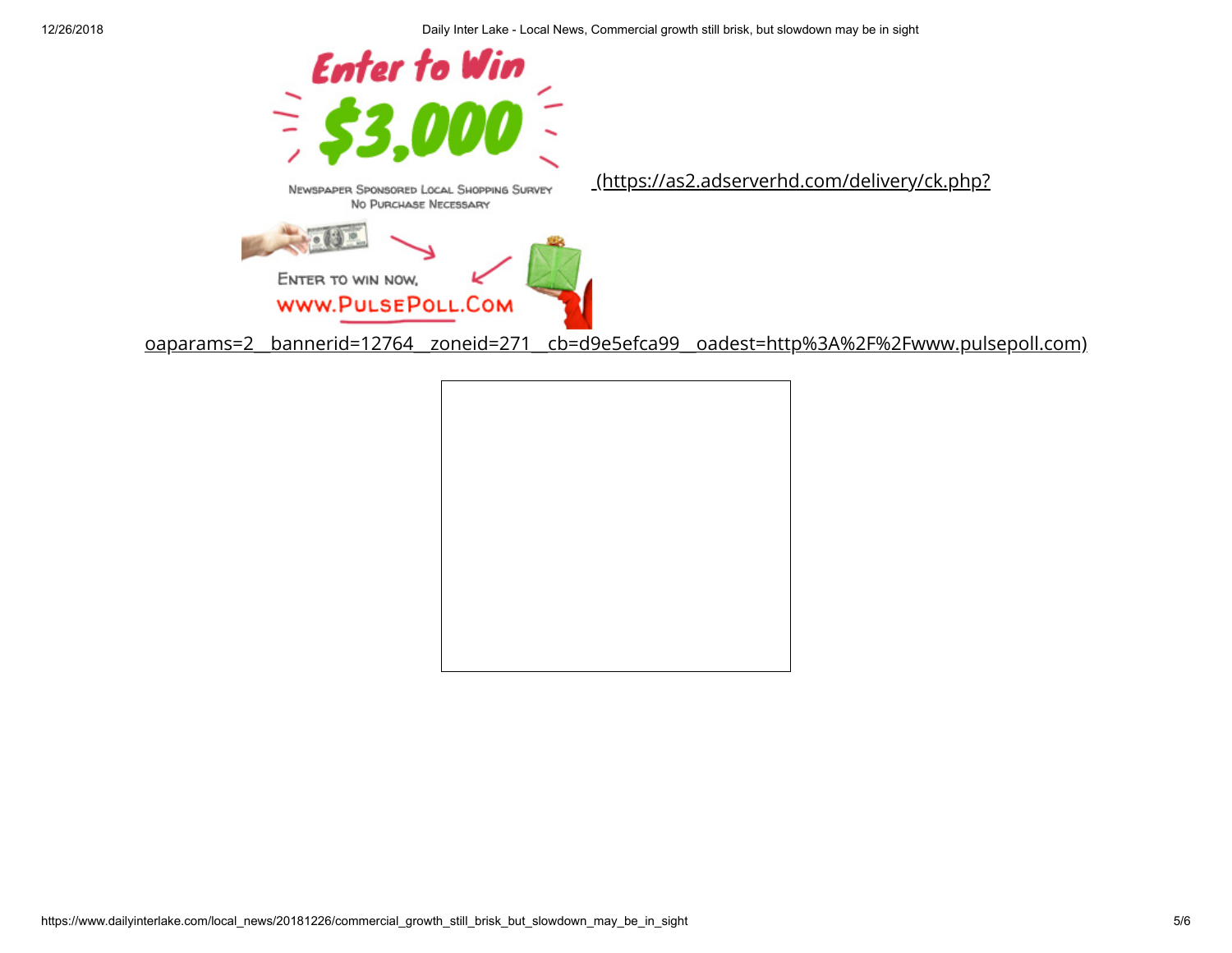

[oaparams=2\\_\\_bannerid=12764\\_\\_zoneid=271\\_\\_cb=d9e5efca99\\_\\_oadest=http%3A%2F%2Fwww.pulsepoll.com\)](https://as2.adserverhd.com/delivery/ck.php?oaparams=2__bannerid=12764__zoneid=271__cb=d9e5efca99__oadest=http%3A%2F%2Fwww.pulsepoll.com)